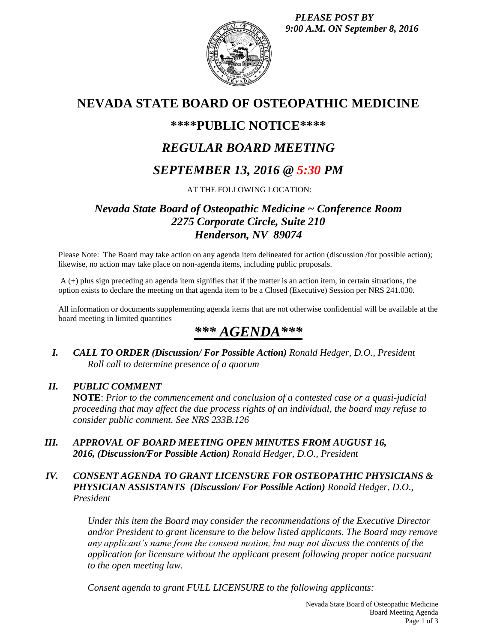*PLEASE POST BY 9:00 A.M. ON September 8, 2016*



## **NEVADA STATE BOARD OF OSTEOPATHIC MEDICINE**

## **\*\*\*\*PUBLIC NOTICE\*\*\*\***

# *REGULAR BOARD MEETING*

## *SEPTEMBER 13, 2016 @ 5:30 PM*

AT THE FOLLOWING LOCATION:

## *Nevada State Board of Osteopathic Medicine ~ Conference Room 2275 Corporate Circle, Suite 210 Henderson, NV 89074*

Please Note: The Board may take action on any agenda item delineated for action (discussion /for possible action); likewise, no action may take place on non-agenda items, including public proposals.

A (+) plus sign preceding an agenda item signifies that if the matter is an action item, in certain situations, the option exists to declare the meeting on that agenda item to be a Closed (Executive) Session per NRS 241.030.

All information or documents supplementing agenda items that are not otherwise confidential will be available at the board meeting in limited quantities

# *\*\*\* AGENDA\*\*\**

*I. CALL TO ORDER (Discussion/ For Possible Action) Ronald Hedger, D.O., President Roll call to determine presence of a quorum*

## *II. PUBLIC COMMENT*

**NOTE**: *Prior to the commencement and conclusion of a contested case or a quasi-judicial proceeding that may affect the due process rights of an individual, the board may refuse to consider public comment. See NRS 233B.126*

*III. APPROVAL OF BOARD MEETING OPEN MINUTES FROM AUGUST 16, 2016, (Discussion/For Possible Action) Ronald Hedger, D.O., President*

### *IV. CONSENT AGENDA TO GRANT LICENSURE FOR OSTEOPATHIC PHYSICIANS & PHYSICIAN ASSISTANTS (Discussion/ For Possible Action) Ronald Hedger, D.O., President*

*Under this item the Board may consider the recommendations of the Executive Director and/or President to grant licensure to the below listed applicants. The Board may remove any applicant's name from the consent motion, but may not discuss the contents of the application for licensure without the applicant present following proper notice pursuant to the open meeting law.* 

*Consent agenda to grant FULL LICENSURE to the following applicants:*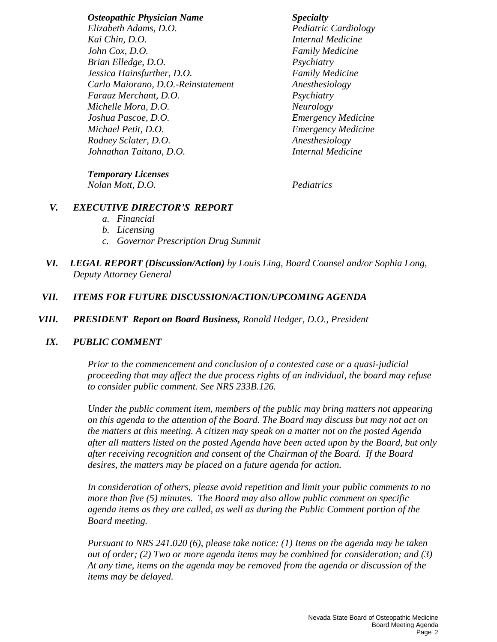*Osteopathic Physician Name Specialty Elizabeth Adams, D.O. Pediatric Cardiology Kai Chin, D.O. Internal Medicine John Cox, D.O. Family Medicine Brian Elledge, D.O. Psychiatry Jessica Hainsfurther, D.O. Family Medicine Carlo Maiorano, D.O.-Reinstatement Anesthesiology Faraaz Merchant, D.O. Psychiatry Michelle Mora, D.O. Neurology Joshua Pascoe, D.O. Emergency Medicine Michael Petit, D.O. Emergency Medicine Rodney Sclater, D.O. Anesthesiology Johnathan Taitano, D.O. Internal Medicine*

*Temporary Licenses*

*Nolan Mott, D.O. Pediatrics*

### *V. EXECUTIVE DIRECTOR'S REPORT*

- *a. Financial*
- *b. Licensing*
- *c. Governor Prescription Drug Summit*
- *VI. LEGAL REPORT (Discussion/Action) by Louis Ling, Board Counsel and/or Sophia Long, Deputy Attorney General*

### *VII. ITEMS FOR FUTURE DISCUSSION/ACTION/UPCOMING AGENDA*

*VIII. PRESIDENT Report on Board Business, Ronald Hedger, D.O., President*

### *IX. PUBLIC COMMENT*

*Prior to the commencement and conclusion of a contested case or a quasi-judicial proceeding that may affect the due process rights of an individual, the board may refuse to consider public comment. See NRS 233B.126.*

*Under the public comment item, members of the public may bring matters not appearing on this agenda to the attention of the Board. The Board may discuss but may not act on the matters at this meeting. A citizen may speak on a matter not on the posted Agenda after all matters listed on the posted Agenda have been acted upon by the Board, but only after receiving recognition and consent of the Chairman of the Board. If the Board desires, the matters may be placed on a future agenda for action.*

*In consideration of others, please avoid repetition and limit your public comments to no more than five (5) minutes. The Board may also allow public comment on specific agenda items as they are called, as well as during the Public Comment portion of the Board meeting.* 

*Pursuant to NRS 241.020 (6), please take notice: (1) Items on the agenda may be taken out of order; (2) Two or more agenda items may be combined for consideration; and (3) At any time, items on the agenda may be removed from the agenda or discussion of the items may be delayed.*